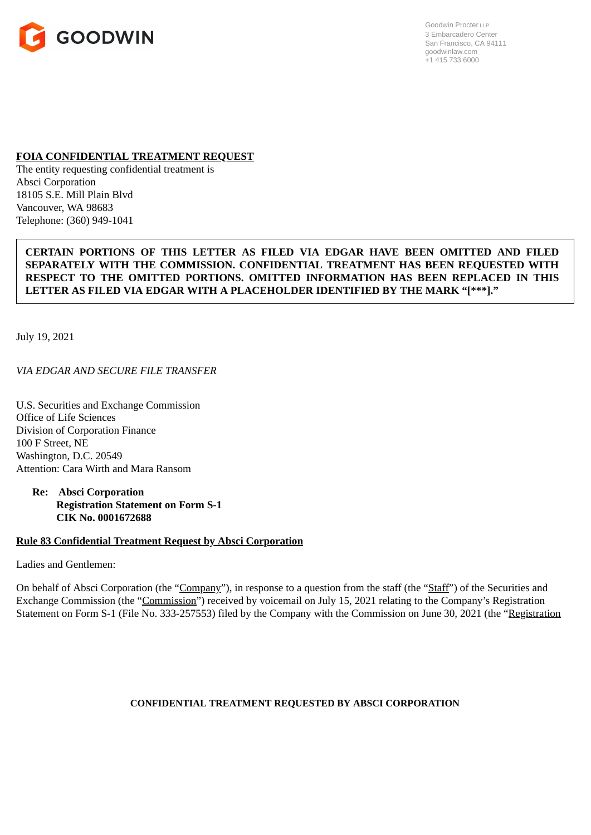

Goodwin Procter LLP 3 Embarcadero Center San Francisco, CA 94111 goodwinlaw.com +1 415 733 6000

#### **FOIA CONFIDENTIAL TREATMENT REQUEST**

The entity requesting confidential treatment is Absci Corporation 18105 S.E. Mill Plain Blvd Vancouver, WA 98683 Telephone: (360) 949-1041

## **CERTAIN PORTIONS OF THIS LETTER AS FILED VIA EDGAR HAVE BEEN OMITTED AND FILED SEPARATELY WITH THE COMMISSION. CONFIDENTIAL TREATMENT HAS BEEN REQUESTED WITH RESPECT TO THE OMITTED PORTIONS. OMITTED INFORMATION HAS BEEN REPLACED IN THIS LETTER AS FILED VIA EDGAR WITH A PLACEHOLDER IDENTIFIED BY THE MARK "[\*\*\*]."**

July 19, 2021

*VIA EDGAR AND SECURE FILE TRANSFER*

U.S. Securities and Exchange Commission Office of Life Sciences Division of Corporation Finance 100 F Street, NE Washington, D.C. 20549 Attention: Cara Wirth and Mara Ransom

**Re: Absci Corporation Registration Statement on Form S-1 CIK No. 0001672688**

## **Rule 83 Confidential Treatment Request by Absci Corporation**

Ladies and Gentlemen:

On behalf of Absci Corporation (the "Company"), in response to a question from the staff (the "Staff") of the Securities and Exchange Commission (the "Commission") received by voicemail on July 15, 2021 relating to the Company's Registration Statement on Form S-1 (File No. 333-257553) filed by the Company with the Commission on June 30, 2021 (the "Registration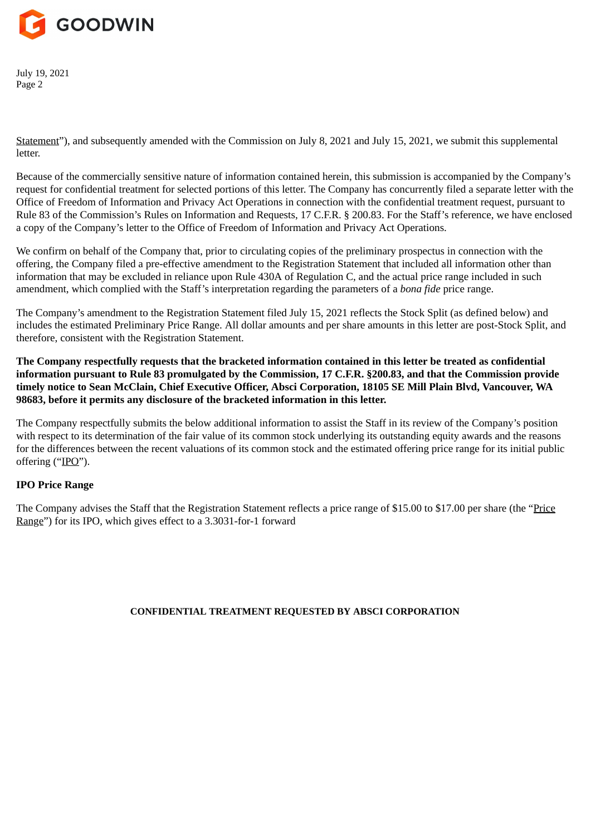

Statement"), and subsequently amended with the Commission on July 8, 2021 and July 15, 2021, we submit this supplemental letter.

Because of the commercially sensitive nature of information contained herein, this submission is accompanied by the Company's request for confidential treatment for selected portions of this letter. The Company has concurrently filed a separate letter with the Office of Freedom of Information and Privacy Act Operations in connection with the confidential treatment request, pursuant to Rule 83 of the Commission's Rules on Information and Requests, 17 C.F.R. § 200.83. For the Staff's reference, we have enclosed a copy of the Company's letter to the Office of Freedom of Information and Privacy Act Operations.

We confirm on behalf of the Company that, prior to circulating copies of the preliminary prospectus in connection with the offering, the Company filed a pre-effective amendment to the Registration Statement that included all information other than information that may be excluded in reliance upon Rule 430A of Regulation C, and the actual price range included in such amendment, which complied with the Staff's interpretation regarding the parameters of a *bona fide* price range.

The Company's amendment to the Registration Statement filed July 15, 2021 reflects the Stock Split (as defined below) and includes the estimated Preliminary Price Range. All dollar amounts and per share amounts in this letter are post-Stock Split, and therefore, consistent with the Registration Statement.

**The Company respectfully requests that the bracketed information contained in this letter be treated as confidential information pursuant to Rule 83 promulgated by the Commission, 17 C.F.R. §200.83, and that the Commission provide timely notice to Sean McClain, Chief Executive Officer, Absci Corporation, 18105 SE Mill Plain Blvd, Vancouver, WA 98683, before it permits any disclosure of the bracketed information in this letter.**

The Company respectfully submits the below additional information to assist the Staff in its review of the Company's position with respect to its determination of the fair value of its common stock underlying its outstanding equity awards and the reasons for the differences between the recent valuations of its common stock and the estimated offering price range for its initial public offering ("IPO").

# **IPO Price Range**

The Company advises the Staff that the Registration Statement reflects a price range of \$15.00 to \$17.00 per share (the "Price Range") for its IPO, which gives effect to a 3.3031-for-1 forward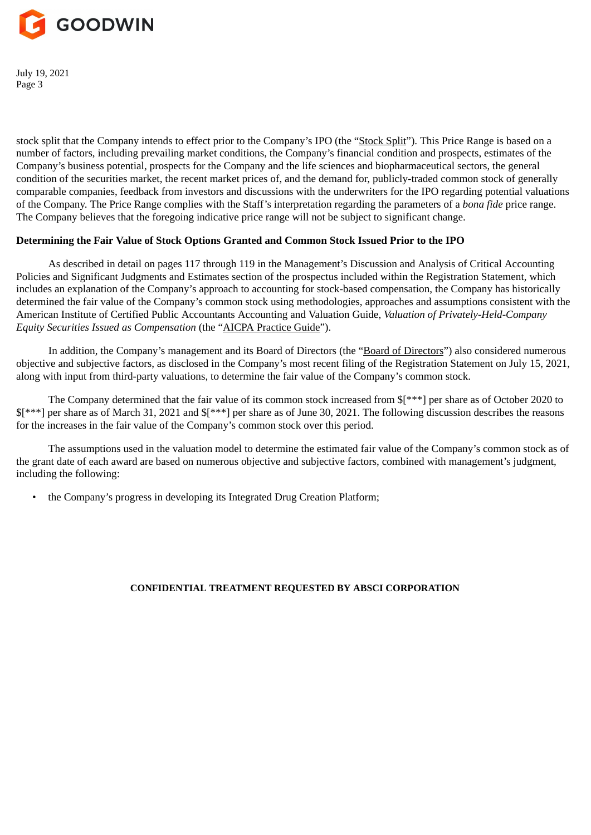

stock split that the Company intends to effect prior to the Company's IPO (the "Stock Split"). This Price Range is based on a number of factors, including prevailing market conditions, the Company's financial condition and prospects, estimates of the Company's business potential, prospects for the Company and the life sciences and biopharmaceutical sectors, the general condition of the securities market, the recent market prices of, and the demand for, publicly-traded common stock of generally comparable companies, feedback from investors and discussions with the underwriters for the IPO regarding potential valuations of the Company. The Price Range complies with the Staff's interpretation regarding the parameters of a *bona fide* price range. The Company believes that the foregoing indicative price range will not be subject to significant change.

## **Determining the Fair Value of Stock Options Granted and Common Stock Issued Prior to the IPO**

As described in detail on pages 117 through 119 in the Management's Discussion and Analysis of Critical Accounting Policies and Significant Judgments and Estimates section of the prospectus included within the Registration Statement, which includes an explanation of the Company's approach to accounting for stock-based compensation, the Company has historically determined the fair value of the Company's common stock using methodologies, approaches and assumptions consistent with the American Institute of Certified Public Accountants Accounting and Valuation Guide, *Valuation of Privately-Held-Company Equity Securities Issued as Compensation* (the "AICPA Practice Guide").

In addition, the Company's management and its Board of Directors (the "Board of Directors") also considered numerous objective and subjective factors, as disclosed in the Company's most recent filing of the Registration Statement on July 15, 2021, along with input from third-party valuations, to determine the fair value of the Company's common stock.

The Company determined that the fair value of its common stock increased from \$[\*\*\*] per share as of October 2020 to \$[\*\*\*] per share as of March 31, 2021 and \$[\*\*\*] per share as of June 30, 2021. The following discussion describes the reasons for the increases in the fair value of the Company's common stock over this period.

The assumptions used in the valuation model to determine the estimated fair value of the Company's common stock as of the grant date of each award are based on numerous objective and subjective factors, combined with management's judgment, including the following:

• the Company's progress in developing its Integrated Drug Creation Platform;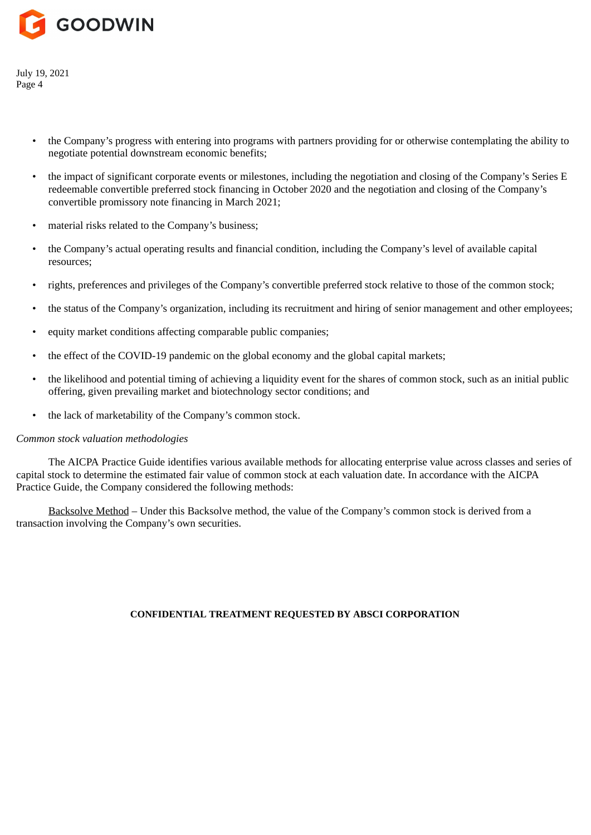

- the Company's progress with entering into programs with partners providing for or otherwise contemplating the ability to negotiate potential downstream economic benefits;
- the impact of significant corporate events or milestones, including the negotiation and closing of the Company's Series E redeemable convertible preferred stock financing in October 2020 and the negotiation and closing of the Company's convertible promissory note financing in March 2021;
- material risks related to the Company's business;
- the Company's actual operating results and financial condition, including the Company's level of available capital resources;
- rights, preferences and privileges of the Company's convertible preferred stock relative to those of the common stock;
- the status of the Company's organization, including its recruitment and hiring of senior management and other employees;
- equity market conditions affecting comparable public companies;
- the effect of the COVID-19 pandemic on the global economy and the global capital markets;
- the likelihood and potential timing of achieving a liquidity event for the shares of common stock, such as an initial public offering, given prevailing market and biotechnology sector conditions; and
- the lack of marketability of the Company's common stock.

## *Common stock valuation methodologies*

The AICPA Practice Guide identifies various available methods for allocating enterprise value across classes and series of capital stock to determine the estimated fair value of common stock at each valuation date. In accordance with the AICPA Practice Guide, the Company considered the following methods:

Backsolve Method – Under this Backsolve method, the value of the Company's common stock is derived from a transaction involving the Company's own securities.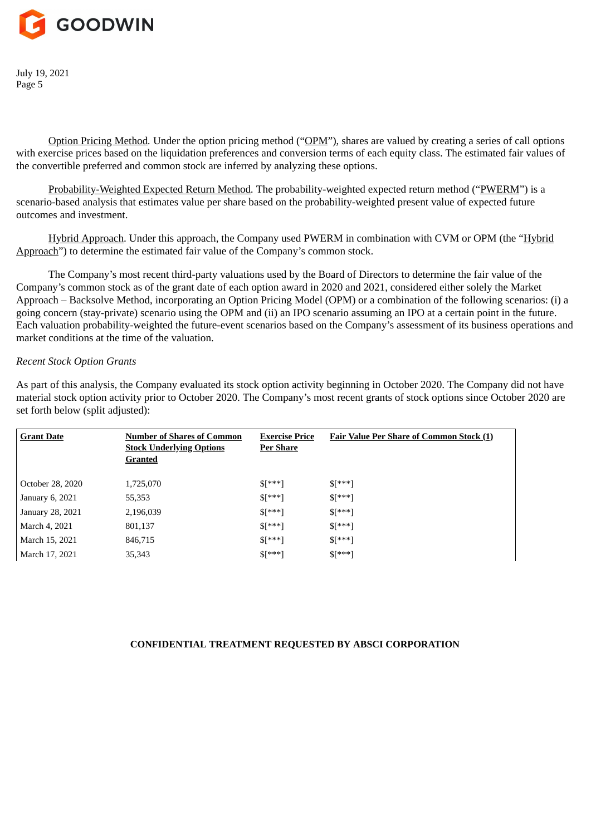

Option Pricing Method*.* Under the option pricing method ("OPM"), shares are valued by creating a series of call options with exercise prices based on the liquidation preferences and conversion terms of each equity class. The estimated fair values of the convertible preferred and common stock are inferred by analyzing these options.

Probability-Weighted Expected Return Method*.* The probability-weighted expected return method ("PWERM") is a scenario-based analysis that estimates value per share based on the probability-weighted present value of expected future outcomes and investment.

Hybrid Approach. Under this approach, the Company used PWERM in combination with CVM or OPM (the "Hybrid Approach") to determine the estimated fair value of the Company's common stock.

The Company's most recent third-party valuations used by the Board of Directors to determine the fair value of the Company's common stock as of the grant date of each option award in 2020 and 2021, considered either solely the Market Approach – Backsolve Method, incorporating an Option Pricing Model (OPM) or a combination of the following scenarios: (i) a going concern (stay-private) scenario using the OPM and (ii) an IPO scenario assuming an IPO at a certain point in the future. Each valuation probability-weighted the future-event scenarios based on the Company's assessment of its business operations and market conditions at the time of the valuation.

#### *Recent Stock Option Grants*

As part of this analysis, the Company evaluated its stock option activity beginning in October 2020. The Company did not have material stock option activity prior to October 2020. The Company's most recent grants of stock options since October 2020 are set forth below (split adjusted):

| <b>Grant Date</b> | <b>Number of Shares of Common</b><br><b>Stock Underlying Options</b><br>Granted | <b>Exercise Price</b><br><b>Per Share</b> | <b>Fair Value Per Share of Common Stock (1)</b> |
|-------------------|---------------------------------------------------------------------------------|-------------------------------------------|-------------------------------------------------|
| October 28, 2020  | 1,725,070                                                                       | $$[***]$                                  | $$[^{***}]$                                     |
| January 6, 2021   | 55,353                                                                          | $$[***]$                                  | $$[^{***}]$                                     |
| January 28, 2021  | 2,196,039                                                                       | $$[***]$                                  | $S[***]$                                        |
| March 4, 2021     | 801,137                                                                         | $$[***]$                                  | $$[^{***}]$                                     |
| March 15, 2021    | 846,715                                                                         | $$[***]$                                  | $$[^{***}]$                                     |
| March 17, 2021    | 35,343                                                                          | $$[***]$                                  | $$[^{***}]$                                     |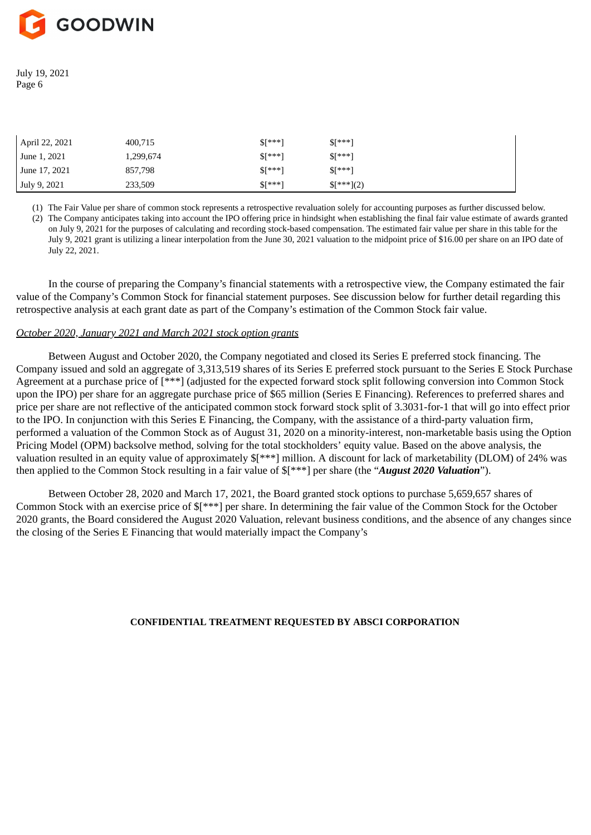

| April 22, 2021 | 400,715   | $\sqrt{5}$ ***] | $\sqrt{\frac{k+1}{k}}$ |
|----------------|-----------|-----------------|------------------------|
| June 1, 2021   | 1,299,674 | $\sqrt{5}$ ***] | $\sqrt{\frac{k+1}{k}}$ |
| June 17, 2021  | 857,798   | $\sqrt{5}$ ***] | $\sqrt{\frac{k+1}{k}}$ |
| July 9, 2021   | 233,509   | $\sqrt{5}$ ***] | $\{$ ***}(2)           |

(1) The Fair Value per share of common stock represents a retrospective revaluation solely for accounting purposes as further discussed below.

(2) The Company anticipates taking into account the IPO offering price in hindsight when establishing the final fair value estimate of awards granted on July 9, 2021 for the purposes of calculating and recording stock-based compensation. The estimated fair value per share in this table for the July 9, 2021 grant is utilizing a linear interpolation from the June 30, 2021 valuation to the midpoint price of \$16.00 per share on an IPO date of July 22, 2021.

In the course of preparing the Company's financial statements with a retrospective view, the Company estimated the fair value of the Company's Common Stock for financial statement purposes. See discussion below for further detail regarding this retrospective analysis at each grant date as part of the Company's estimation of the Common Stock fair value.

#### *October 2020, January 2021 and March 2021 stock option grants*

Between August and October 2020, the Company negotiated and closed its Series E preferred stock financing. The Company issued and sold an aggregate of 3,313,519 shares of its Series E preferred stock pursuant to the Series E Stock Purchase Agreement at a purchase price of [\*\*\*] (adjusted for the expected forward stock split following conversion into Common Stock upon the IPO) per share for an aggregate purchase price of \$65 million (Series E Financing). References to preferred shares and price per share are not reflective of the anticipated common stock forward stock split of 3.3031-for-1 that will go into effect prior to the IPO. In conjunction with this Series E Financing, the Company, with the assistance of a third-party valuation firm, performed a valuation of the Common Stock as of August 31, 2020 on a minority-interest, non-marketable basis using the Option Pricing Model (OPM) backsolve method, solving for the total stockholders' equity value. Based on the above analysis, the valuation resulted in an equity value of approximately \$[\*\*\*] million. A discount for lack of marketability (DLOM) of 24% was then applied to the Common Stock resulting in a fair value of \$[\*\*\*] per share (the "*August 2020 Valuation*").

Between October 28, 2020 and March 17, 2021, the Board granted stock options to purchase 5,659,657 shares of Common Stock with an exercise price of \$[\*\*\*] per share. In determining the fair value of the Common Stock for the October 2020 grants, the Board considered the August 2020 Valuation, relevant business conditions, and the absence of any changes since the closing of the Series E Financing that would materially impact the Company's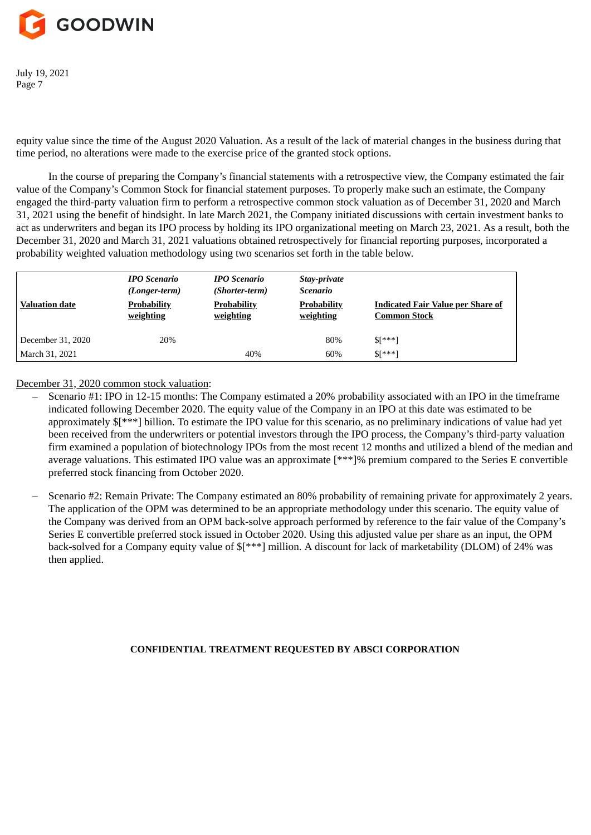

equity value since the time of the August 2020 Valuation. As a result of the lack of material changes in the business during that time period, no alterations were made to the exercise price of the granted stock options.

In the course of preparing the Company's financial statements with a retrospective view, the Company estimated the fair value of the Company's Common Stock for financial statement purposes. To properly make such an estimate, the Company engaged the third-party valuation firm to perform a retrospective common stock valuation as of December 31, 2020 and March 31, 2021 using the benefit of hindsight. In late March 2021, the Company initiated discussions with certain investment banks to act as underwriters and began its IPO process by holding its IPO organizational meeting on March 23, 2021. As a result, both the December 31, 2020 and March 31, 2021 valuations obtained retrospectively for financial reporting purposes, incorporated a probability weighted valuation methodology using two scenarios set forth in the table below.

| Valuation date      | <b>IPO Scenario</b><br>(Longer-term)<br><b>Probability</b><br>weighting | <b>IPO</b> Scenario<br>(Shorter-term)<br><b>Probability</b><br><u>weighting</u> | Stay-private<br><b>Scenario</b><br><b>Probability</b><br>weighting | <b>Indicated Fair Value per Share of</b><br><b>Common Stock</b> |
|---------------------|-------------------------------------------------------------------------|---------------------------------------------------------------------------------|--------------------------------------------------------------------|-----------------------------------------------------------------|
| December $31, 2020$ | 20%                                                                     |                                                                                 | 80%                                                                | $$[^{***}]$                                                     |
| March 31, 2021      |                                                                         | 40%                                                                             | 60%                                                                | $S[***]$                                                        |

December 31, 2020 common stock valuation:

- Scenario #1: IPO in 12-15 months: The Company estimated a 20% probability associated with an IPO in the timeframe indicated following December 2020. The equity value of the Company in an IPO at this date was estimated to be approximately \$[\*\*\*] billion. To estimate the IPO value for this scenario, as no preliminary indications of value had yet been received from the underwriters or potential investors through the IPO process, the Company's third-party valuation firm examined a population of biotechnology IPOs from the most recent 12 months and utilized a blend of the median and average valuations. This estimated IPO value was an approximate [\*\*\*]% premium compared to the Series E convertible preferred stock financing from October 2020.
- Scenario #2: Remain Private: The Company estimated an 80% probability of remaining private for approximately 2 years. The application of the OPM was determined to be an appropriate methodology under this scenario. The equity value of the Company was derived from an OPM back-solve approach performed by reference to the fair value of the Company's Series E convertible preferred stock issued in October 2020. Using this adjusted value per share as an input, the OPM back-solved for a Company equity value of  $\frac{1}{2}$  million. A discount for lack of marketability (DLOM) of 24% was then applied.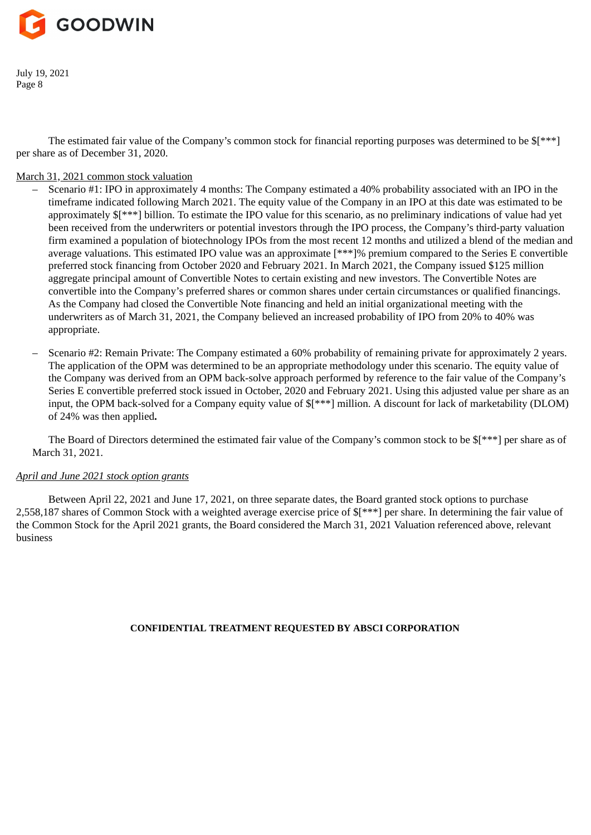

The estimated fair value of the Company's common stock for financial reporting purposes was determined to be \$[\*\*\*] per share as of December 31, 2020.

## March 31, 2021 common stock valuation

– Scenario #1: IPO in approximately 4 months: The Company estimated a 40% probability associated with an IPO in the timeframe indicated following March 2021. The equity value of the Company in an IPO at this date was estimated to be approximately \$[\*\*\*] billion. To estimate the IPO value for this scenario, as no preliminary indications of value had yet been received from the underwriters or potential investors through the IPO process, the Company's third-party valuation firm examined a population of biotechnology IPOs from the most recent 12 months and utilized a blend of the median and average valuations. This estimated IPO value was an approximate [\*\*\*]% premium compared to the Series E convertible preferred stock financing from October 2020 and February 2021. In March 2021, the Company issued \$125 million aggregate principal amount of Convertible Notes to certain existing and new investors. The Convertible Notes are convertible into the Company's preferred shares or common shares under certain circumstances or qualified financings. As the Company had closed the Convertible Note financing and held an initial organizational meeting with the underwriters as of March 31, 2021, the Company believed an increased probability of IPO from 20% to 40% was appropriate.

– Scenario #2: Remain Private: The Company estimated a 60% probability of remaining private for approximately 2 years. The application of the OPM was determined to be an appropriate methodology under this scenario. The equity value of the Company was derived from an OPM back-solve approach performed by reference to the fair value of the Company's Series E convertible preferred stock issued in October, 2020 and February 2021. Using this adjusted value per share as an input, the OPM back-solved for a Company equity value of \$[\*\*\*] million. A discount for lack of marketability (DLOM) of 24% was then applied**.**

The Board of Directors determined the estimated fair value of the Company's common stock to be \$[\*\*\*] per share as of March 31, 2021.

#### *April and June 2021 stock option grants*

Between April 22, 2021 and June 17, 2021, on three separate dates, the Board granted stock options to purchase 2,558,187 shares of Common Stock with a weighted average exercise price of \$[\*\*\*] per share. In determining the fair value of the Common Stock for the April 2021 grants, the Board considered the March 31, 2021 Valuation referenced above, relevant business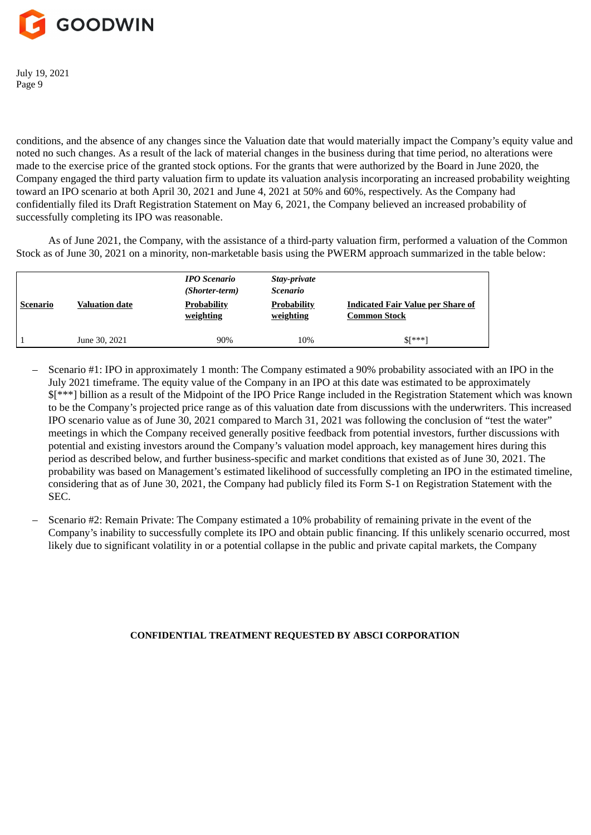

conditions, and the absence of any changes since the Valuation date that would materially impact the Company's equity value and noted no such changes. As a result of the lack of material changes in the business during that time period, no alterations were made to the exercise price of the granted stock options. For the grants that were authorized by the Board in June 2020, the Company engaged the third party valuation firm to update its valuation analysis incorporating an increased probability weighting toward an IPO scenario at both April 30, 2021 and June 4, 2021 at 50% and 60%, respectively. As the Company had confidentially filed its Draft Registration Statement on May 6, 2021, the Company believed an increased probability of successfully completing its IPO was reasonable.

As of June 2021, the Company, with the assistance of a third-party valuation firm, performed a valuation of the Common Stock as of June 30, 2021 on a minority, non-marketable basis using the PWERM approach summarized in the table below:

| Scenario | <b>Valuation date</b> | <b>IPO Scenario</b><br>(Shorter-term)<br><b>Probability</b><br>weighting | Stay-private<br><b>Scenario</b><br><b>Probability</b><br>weighting | <b>Indicated Fair Value per Share of</b><br><b>Common Stock</b> |
|----------|-----------------------|--------------------------------------------------------------------------|--------------------------------------------------------------------|-----------------------------------------------------------------|
|          | June 30, 2021         | 90%                                                                      | 10%                                                                | $\frac{1}{2}$ ***]                                              |

- Scenario #1: IPO in approximately 1 month: The Company estimated a 90% probability associated with an IPO in the July 2021 timeframe. The equity value of the Company in an IPO at this date was estimated to be approximately \$[\*\*\*] billion as a result of the Midpoint of the IPO Price Range included in the Registration Statement which was known to be the Company's projected price range as of this valuation date from discussions with the underwriters. This increased IPO scenario value as of June 30, 2021 compared to March 31, 2021 was following the conclusion of "test the water" meetings in which the Company received generally positive feedback from potential investors, further discussions with potential and existing investors around the Company's valuation model approach, key management hires during this period as described below, and further business-specific and market conditions that existed as of June 30, 2021. The probability was based on Management's estimated likelihood of successfully completing an IPO in the estimated timeline, considering that as of June 30, 2021, the Company had publicly filed its Form S-1 on Registration Statement with the SEC.
- Scenario #2: Remain Private: The Company estimated a 10% probability of remaining private in the event of the Company's inability to successfully complete its IPO and obtain public financing. If this unlikely scenario occurred, most likely due to significant volatility in or a potential collapse in the public and private capital markets, the Company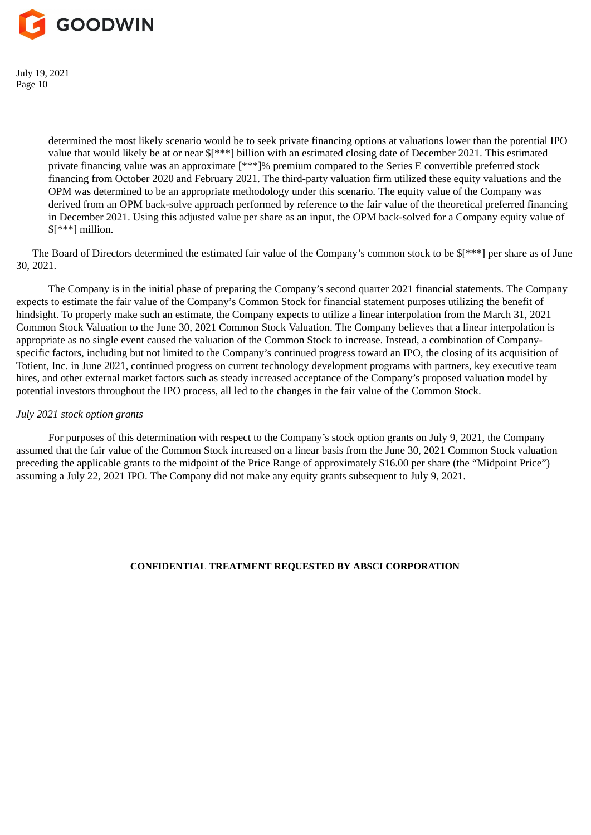

> determined the most likely scenario would be to seek private financing options at valuations lower than the potential IPO value that would likely be at or near \$[\*\*\*] billion with an estimated closing date of December 2021. This estimated private financing value was an approximate [\*\*\*]% premium compared to the Series E convertible preferred stock financing from October 2020 and February 2021. The third-party valuation firm utilized these equity valuations and the OPM was determined to be an appropriate methodology under this scenario. The equity value of the Company was derived from an OPM back-solve approach performed by reference to the fair value of the theoretical preferred financing in December 2021. Using this adjusted value per share as an input, the OPM back-solved for a Company equity value of \$[\*\*\*] million.

The Board of Directors determined the estimated fair value of the Company's common stock to be \$[\*\*\*] per share as of June 30, 2021.

The Company is in the initial phase of preparing the Company's second quarter 2021 financial statements. The Company expects to estimate the fair value of the Company's Common Stock for financial statement purposes utilizing the benefit of hindsight. To properly make such an estimate, the Company expects to utilize a linear interpolation from the March 31, 2021 Common Stock Valuation to the June 30, 2021 Common Stock Valuation. The Company believes that a linear interpolation is appropriate as no single event caused the valuation of the Common Stock to increase. Instead, a combination of Companyspecific factors, including but not limited to the Company's continued progress toward an IPO, the closing of its acquisition of Totient, Inc. in June 2021, continued progress on current technology development programs with partners, key executive team hires, and other external market factors such as steady increased acceptance of the Company's proposed valuation model by potential investors throughout the IPO process, all led to the changes in the fair value of the Common Stock.

#### *July 2021 stock option grants*

For purposes of this determination with respect to the Company's stock option grants on July 9, 2021, the Company assumed that the fair value of the Common Stock increased on a linear basis from the June 30, 2021 Common Stock valuation preceding the applicable grants to the midpoint of the Price Range of approximately \$16.00 per share (the "Midpoint Price") assuming a July 22, 2021 IPO. The Company did not make any equity grants subsequent to July 9, 2021.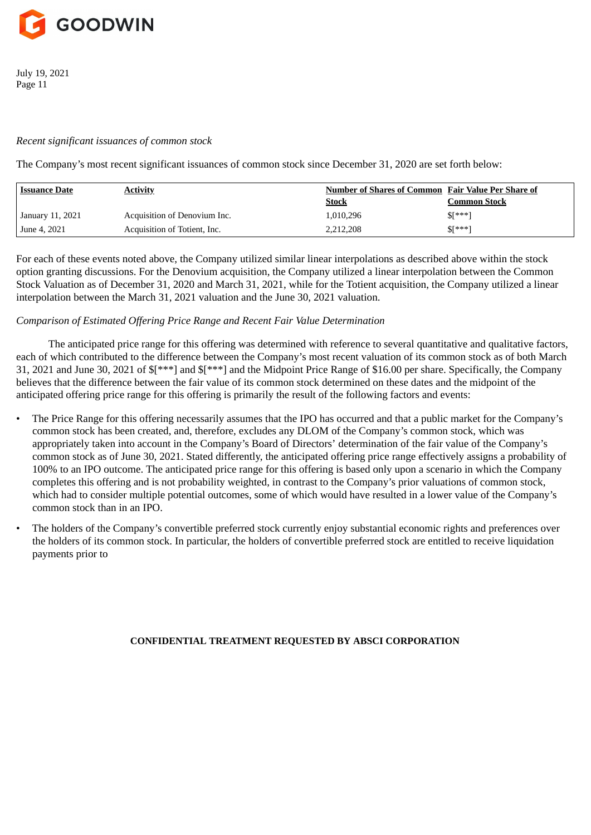

## *Recent significant issuances of common stock*

The Company's most recent significant issuances of common stock since December 31, 2020 are set forth below:

| <b>Issuance Date</b> | <b>Activity</b>              | <b>Number of Shares of Common Fair Value Per Share of</b> |                     |
|----------------------|------------------------------|-----------------------------------------------------------|---------------------|
|                      |                              | <u>Stock</u>                                              | <b>Common Stock</b> |
| January 11, 2021     | Acquisition of Denovium Inc. | 1,010,296                                                 | $$[^{***}]$         |
| June 4, 2021         | Acquisition of Totient, Inc. | 2,212,208                                                 | $$[^{***}]$         |

For each of these events noted above, the Company utilized similar linear interpolations as described above within the stock option granting discussions. For the Denovium acquisition, the Company utilized a linear interpolation between the Common Stock Valuation as of December 31, 2020 and March 31, 2021, while for the Totient acquisition, the Company utilized a linear interpolation between the March 31, 2021 valuation and the June 30, 2021 valuation.

## *Comparison of Estimated Offering Price Range and Recent Fair Value Determination*

The anticipated price range for this offering was determined with reference to several quantitative and qualitative factors, each of which contributed to the difference between the Company's most recent valuation of its common stock as of both March 31, 2021 and June 30, 2021 of \$[\*\*\*] and \$[\*\*\*] and the Midpoint Price Range of \$16.00 per share. Specifically, the Company believes that the difference between the fair value of its common stock determined on these dates and the midpoint of the anticipated offering price range for this offering is primarily the result of the following factors and events:

- The Price Range for this offering necessarily assumes that the IPO has occurred and that a public market for the Company's common stock has been created, and, therefore, excludes any DLOM of the Company's common stock, which was appropriately taken into account in the Company's Board of Directors' determination of the fair value of the Company's common stock as of June 30, 2021. Stated differently, the anticipated offering price range effectively assigns a probability of 100% to an IPO outcome. The anticipated price range for this offering is based only upon a scenario in which the Company completes this offering and is not probability weighted, in contrast to the Company's prior valuations of common stock, which had to consider multiple potential outcomes, some of which would have resulted in a lower value of the Company's common stock than in an IPO.
- The holders of the Company's convertible preferred stock currently enjoy substantial economic rights and preferences over the holders of its common stock. In particular, the holders of convertible preferred stock are entitled to receive liquidation payments prior to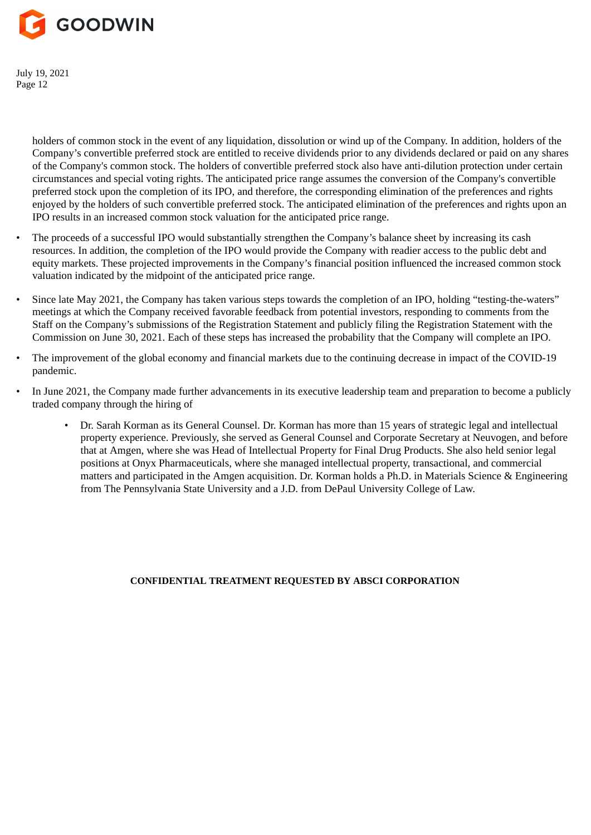

> holders of common stock in the event of any liquidation, dissolution or wind up of the Company. In addition, holders of the Company's convertible preferred stock are entitled to receive dividends prior to any dividends declared or paid on any shares of the Company's common stock. The holders of convertible preferred stock also have anti-dilution protection under certain circumstances and special voting rights. The anticipated price range assumes the conversion of the Company's convertible preferred stock upon the completion of its IPO, and therefore, the corresponding elimination of the preferences and rights enjoyed by the holders of such convertible preferred stock. The anticipated elimination of the preferences and rights upon an IPO results in an increased common stock valuation for the anticipated price range.

- The proceeds of a successful IPO would substantially strengthen the Company's balance sheet by increasing its cash resources. In addition, the completion of the IPO would provide the Company with readier access to the public debt and equity markets. These projected improvements in the Company's financial position influenced the increased common stock valuation indicated by the midpoint of the anticipated price range.
- Since late May 2021, the Company has taken various steps towards the completion of an IPO, holding "testing-the-waters" meetings at which the Company received favorable feedback from potential investors, responding to comments from the Staff on the Company's submissions of the Registration Statement and publicly filing the Registration Statement with the Commission on June 30, 2021. Each of these steps has increased the probability that the Company will complete an IPO.
- The improvement of the global economy and financial markets due to the continuing decrease in impact of the COVID-19 pandemic.
- In June 2021, the Company made further advancements in its executive leadership team and preparation to become a publicly traded company through the hiring of
	- Dr. Sarah Korman as its General Counsel. Dr. Korman has more than 15 years of strategic legal and intellectual property experience. Previously, she served as General Counsel and Corporate Secretary at Neuvogen, and before that at Amgen, where she was Head of Intellectual Property for Final Drug Products. She also held senior legal positions at Onyx Pharmaceuticals, where she managed intellectual property, transactional, and commercial matters and participated in the Amgen acquisition. Dr. Korman holds a Ph.D. in Materials Science & Engineering from The Pennsylvania State University and a J.D. from DePaul University College of Law.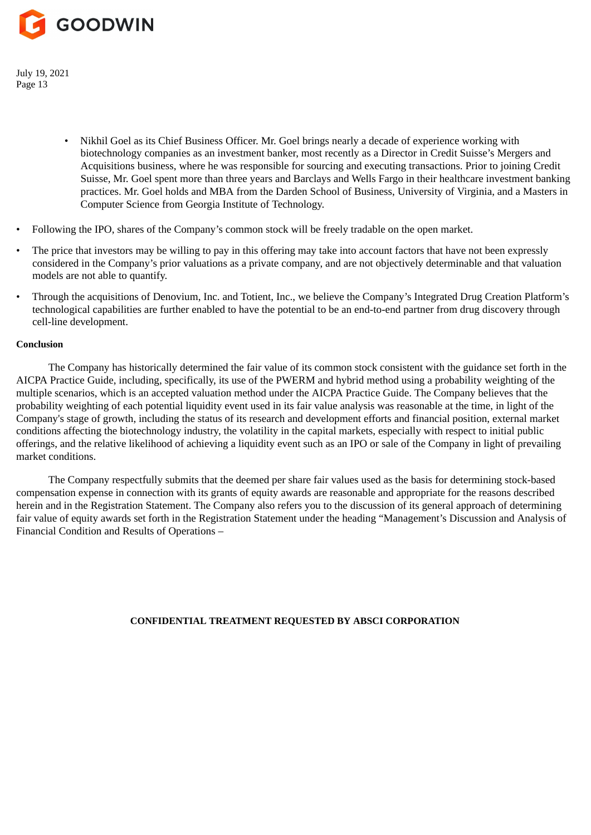

- Nikhil Goel as its Chief Business Officer. Mr. Goel brings nearly a decade of experience working with biotechnology companies as an investment banker, most recently as a Director in Credit Suisse's Mergers and Acquisitions business, where he was responsible for sourcing and executing transactions. Prior to joining Credit Suisse, Mr. Goel spent more than three years and Barclays and Wells Fargo in their healthcare investment banking practices. Mr. Goel holds and MBA from the Darden School of Business, University of Virginia, and a Masters in Computer Science from Georgia Institute of Technology.
- Following the IPO, shares of the Company's common stock will be freely tradable on the open market.
- The price that investors may be willing to pay in this offering may take into account factors that have not been expressly considered in the Company's prior valuations as a private company, and are not objectively determinable and that valuation models are not able to quantify.
- Through the acquisitions of Denovium, Inc. and Totient, Inc., we believe the Company's Integrated Drug Creation Platform's technological capabilities are further enabled to have the potential to be an end-to-end partner from drug discovery through cell-line development.

#### **Conclusion**

The Company has historically determined the fair value of its common stock consistent with the guidance set forth in the AICPA Practice Guide, including, specifically, its use of the PWERM and hybrid method using a probability weighting of the multiple scenarios, which is an accepted valuation method under the AICPA Practice Guide. The Company believes that the probability weighting of each potential liquidity event used in its fair value analysis was reasonable at the time, in light of the Company's stage of growth, including the status of its research and development efforts and financial position, external market conditions affecting the biotechnology industry, the volatility in the capital markets, especially with respect to initial public offerings, and the relative likelihood of achieving a liquidity event such as an IPO or sale of the Company in light of prevailing market conditions.

The Company respectfully submits that the deemed per share fair values used as the basis for determining stock-based compensation expense in connection with its grants of equity awards are reasonable and appropriate for the reasons described herein and in the Registration Statement. The Company also refers you to the discussion of its general approach of determining fair value of equity awards set forth in the Registration Statement under the heading "Management's Discussion and Analysis of Financial Condition and Results of Operations –